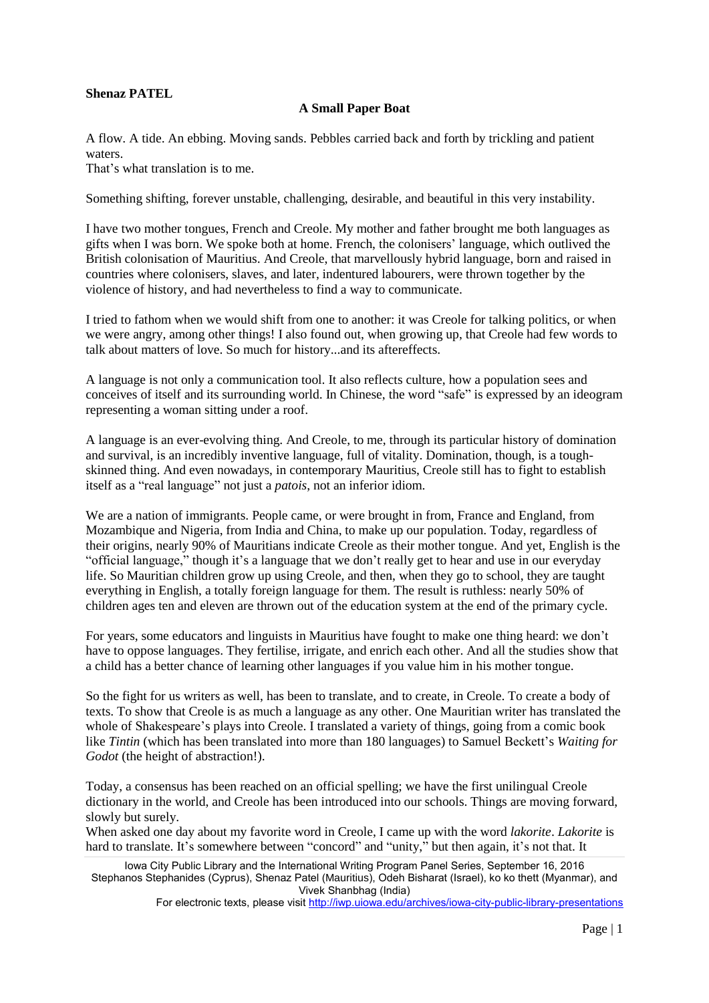## **Shenaz PATEL**

## **A Small Paper Boat**

A flow. A tide. An ebbing. Moving sands. Pebbles carried back and forth by trickling and patient waters.

That's what translation is to me.

Something shifting, forever unstable, challenging, desirable, and beautiful in this very instability.

I have two mother tongues, French and Creole. My mother and father brought me both languages as gifts when I was born. We spoke both at home. French, the colonisers' language, which outlived the British colonisation of Mauritius. And Creole, that marvellously hybrid language, born and raised in countries where colonisers, slaves, and later, indentured labourers, were thrown together by the violence of history, and had nevertheless to find a way to communicate.

I tried to fathom when we would shift from one to another: it was Creole for talking politics, or when we were angry, among other things! I also found out, when growing up, that Creole had few words to talk about matters of love. So much for history...and its aftereffects.

A language is not only a communication tool. It also reflects culture, how a population sees and conceives of itself and its surrounding world. In Chinese, the word "safe" is expressed by an ideogram representing a woman sitting under a roof.

A language is an ever-evolving thing. And Creole, to me, through its particular history of domination and survival, is an incredibly inventive language, full of vitality. Domination, though, is a toughskinned thing. And even nowadays, in contemporary Mauritius, Creole still has to fight to establish itself as a "real language" not just a *patois*, not an inferior idiom.

We are a nation of immigrants. People came, or were brought in from, France and England, from Mozambique and Nigeria, from India and China, to make up our population. Today, regardless of their origins, nearly 90% of Mauritians indicate Creole as their mother tongue. And yet, English is the "official language," though it's a language that we don't really get to hear and use in our everyday life. So Mauritian children grow up using Creole, and then, when they go to school, they are taught everything in English, a totally foreign language for them. The result is ruthless: nearly 50% of children ages ten and eleven are thrown out of the education system at the end of the primary cycle.

For years, some educators and linguists in Mauritius have fought to make one thing heard: we don't have to oppose languages. They fertilise, irrigate, and enrich each other. And all the studies show that a child has a better chance of learning other languages if you value him in his mother tongue.

So the fight for us writers as well, has been to translate, and to create, in Creole. To create a body of texts. To show that Creole is as much a language as any other. One Mauritian writer has translated the whole of Shakespeare's plays into Creole. I translated a variety of things, going from a comic book like *Tintin* (which has been translated into more than 180 languages) to Samuel Beckett's *Waiting for Godot* (the height of abstraction!).

Today, a consensus has been reached on an official spelling; we have the first unilingual Creole dictionary in the world, and Creole has been introduced into our schools. Things are moving forward, slowly but surely.

When asked one day about my favorite word in Creole, I came up with the word *lakorite*. *Lakorite* is hard to translate. It's somewhere between "concord" and "unity," but then again, it's not that. It

Iowa City Public Library and the International Writing Program Panel Series, September 16, 2016 Stephanos Stephanides (Cyprus), Shenaz Patel (Mauritius), Odeh Bisharat (Israel), ko ko thett (Myanmar), and Vivek Shanbhag (India)

For electronic texts, please visit <http://iwp.uiowa.edu/archives/iowa-city-public-library-presentations>